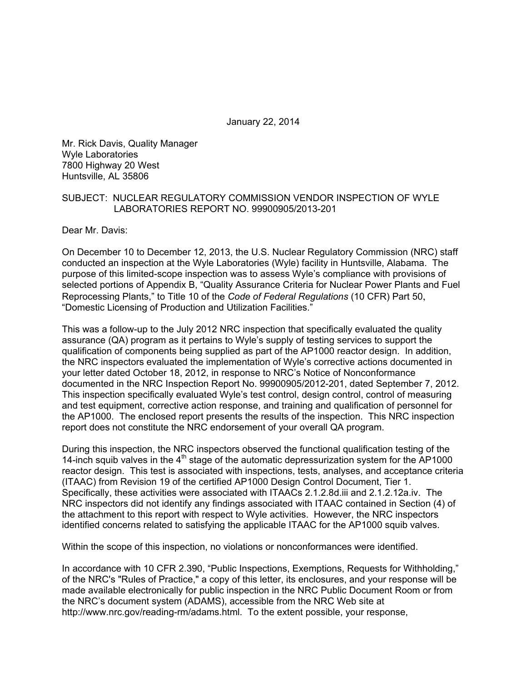January 22, 2014

Mr. Rick Davis, Quality Manager Wyle Laboratories 7800 Highway 20 West Huntsville, AL 35806

#### SUBJECT: NUCLEAR REGULATORY COMMISSION VENDOR INSPECTION OF WYLE LABORATORIES REPORT NO. 99900905/2013-201

Dear Mr. Davis:

On December 10 to December 12, 2013, the U.S. Nuclear Regulatory Commission (NRC) staff conducted an inspection at the Wyle Laboratories (Wyle) facility in Huntsville, Alabama. The purpose of this limited-scope inspection was to assess Wyle's compliance with provisions of selected portions of Appendix B, "Quality Assurance Criteria for Nuclear Power Plants and Fuel Reprocessing Plants," to Title 10 of the *Code of Federal Regulations* (10 CFR) Part 50, "Domestic Licensing of Production and Utilization Facilities."

This was a follow-up to the July 2012 NRC inspection that specifically evaluated the quality assurance (QA) program as it pertains to Wyle's supply of testing services to support the qualification of components being supplied as part of the AP1000 reactor design. In addition, the NRC inspectors evaluated the implementation of Wyle's corrective actions documented in your letter dated October 18, 2012, in response to NRC's Notice of Nonconformance documented in the NRC Inspection Report No. 99900905/2012-201, dated September 7, 2012. This inspection specifically evaluated Wyle's test control, design control, control of measuring and test equipment, corrective action response, and training and qualification of personnel for the AP1000. The enclosed report presents the results of the inspection. This NRC inspection report does not constitute the NRC endorsement of your overall QA program.

During this inspection, the NRC inspectors observed the functional qualification testing of the 14-inch squib valves in the  $4<sup>th</sup>$  stage of the automatic depressurization system for the AP1000 reactor design. This test is associated with inspections, tests, analyses, and acceptance criteria (ITAAC) from Revision 19 of the certified AP1000 Design Control Document, Tier 1. Specifically, these activities were associated with ITAACs 2.1.2.8d.iii and 2.1.2.12a.iv. The NRC inspectors did not identify any findings associated with ITAAC contained in Section (4) of the attachment to this report with respect to Wyle activities. However, the NRC inspectors identified concerns related to satisfying the applicable ITAAC for the AP1000 squib valves.

Within the scope of this inspection, no violations or nonconformances were identified.

In accordance with 10 CFR 2.390, "Public Inspections, Exemptions, Requests for Withholding," of the NRC's "Rules of Practice," a copy of this letter, its enclosures, and your response will be made available electronically for public inspection in the NRC Public Document Room or from the NRC's document system (ADAMS), accessible from the NRC Web site at http://www.nrc.gov/reading-rm/adams.html. To the extent possible, your response,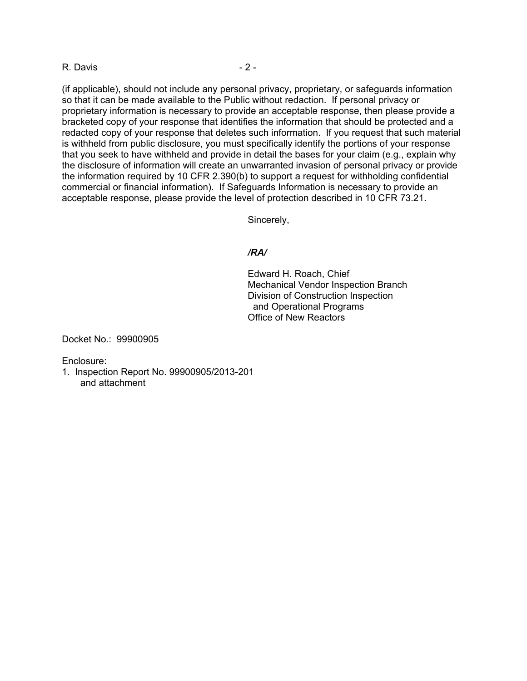#### R. Davis - 2 -

(if applicable), should not include any personal privacy, proprietary, or safeguards information so that it can be made available to the Public without redaction. If personal privacy or proprietary information is necessary to provide an acceptable response, then please provide a bracketed copy of your response that identifies the information that should be protected and a redacted copy of your response that deletes such information. If you request that such material is withheld from public disclosure, you must specifically identify the portions of your response that you seek to have withheld and provide in detail the bases for your claim (e.g., explain why the disclosure of information will create an unwarranted invasion of personal privacy or provide the information required by 10 CFR 2.390(b) to support a request for withholding confidential commercial or financial information). If Safeguards Information is necessary to provide an acceptable response, please provide the level of protection described in 10 CFR 73.21.

Sincerely,

### */RA/*

Edward H. Roach, Chief Mechanical Vendor Inspection Branch Division of Construction Inspection and Operational Programs Office of New Reactors

Docket No.: 99900905

Enclosure:

1. Inspection Report No. 99900905/2013-201 and attachment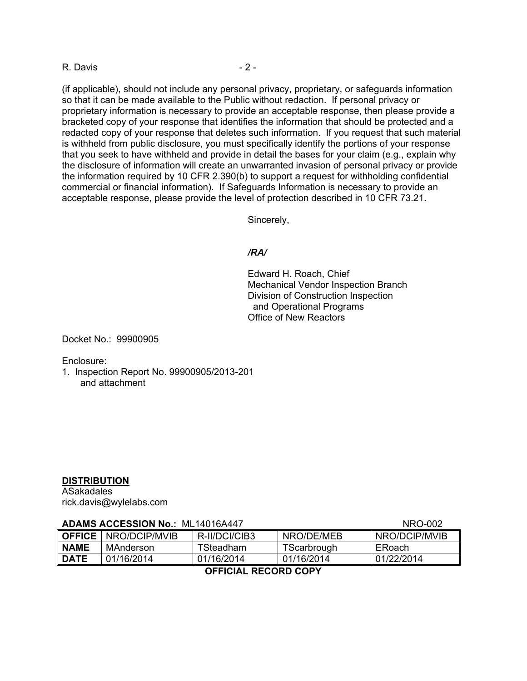#### R. Davis - 2 -

(if applicable), should not include any personal privacy, proprietary, or safeguards information so that it can be made available to the Public without redaction. If personal privacy or proprietary information is necessary to provide an acceptable response, then please provide a bracketed copy of your response that identifies the information that should be protected and a redacted copy of your response that deletes such information. If you request that such material is withheld from public disclosure, you must specifically identify the portions of your response that you seek to have withheld and provide in detail the bases for your claim (e.g., explain why the disclosure of information will create an unwarranted invasion of personal privacy or provide the information required by 10 CFR 2.390(b) to support a request for withholding confidential commercial or financial information). If Safeguards Information is necessary to provide an acceptable response, please provide the level of protection described in 10 CFR 73.21.

Sincerely,

#### */RA/*

Edward H. Roach, Chief Mechanical Vendor Inspection Branch Division of Construction Inspection and Operational Programs Office of New Reactors

Docket No.: 99900905

Enclosure:

1. Inspection Report No. 99900905/2013-201 and attachment

#### **DISTRIBUTION**

ASakadales rick.davis@wylelabs.com

# **ADAMS ACCESSION No.:** ML14016A447 NRO-002

|                      | <b>∥ OFFICE ∣</b> NRO/DCIP/MVIB | R-II/DCI/CIB3 | NRO/DE/MEB  | NRO/DCIP/MVIB |  |
|----------------------|---------------------------------|---------------|-------------|---------------|--|
| <b>NAME</b>          | MAnderson                       | TSteadham     | TScarbrough | ERoach        |  |
| 'I DATE              | 01/16/2014                      | 01/16/2014    | 01/16/2014  | 01/22/2014    |  |
| AFFIAIAL BEAARD AABV |                                 |               |             |               |  |

## **OFFICIAL RECORD COPY**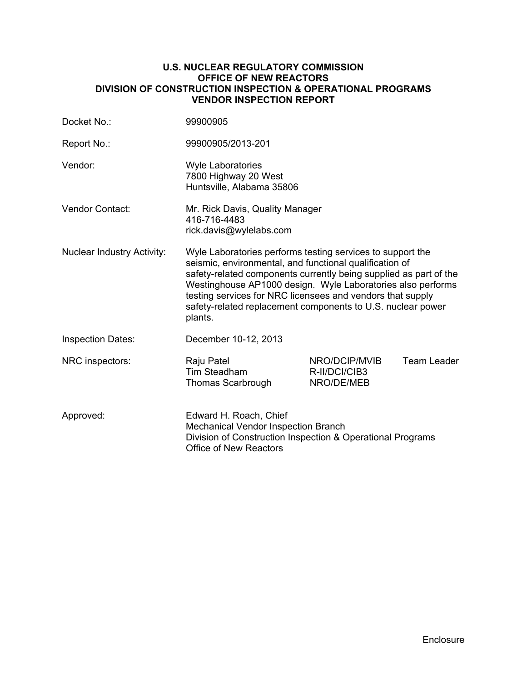#### **U.S. NUCLEAR REGULATORY COMMISSION OFFICE OF NEW REACTORS DIVISION OF CONSTRUCTION INSPECTION & OPERATIONAL PROGRAMS VENDOR INSPECTION REPORT**

| Docket No.:                       | 99900905                                                                                                                                                                                                                                                                                                                                                                                          |                                              |             |
|-----------------------------------|---------------------------------------------------------------------------------------------------------------------------------------------------------------------------------------------------------------------------------------------------------------------------------------------------------------------------------------------------------------------------------------------------|----------------------------------------------|-------------|
| Report No.:                       | 99900905/2013-201                                                                                                                                                                                                                                                                                                                                                                                 |                                              |             |
| Vendor:                           | <b>Wyle Laboratories</b><br>7800 Highway 20 West<br>Huntsville, Alabama 35806                                                                                                                                                                                                                                                                                                                     |                                              |             |
| <b>Vendor Contact:</b>            | Mr. Rick Davis, Quality Manager<br>416-716-4483<br>rick.davis@wylelabs.com                                                                                                                                                                                                                                                                                                                        |                                              |             |
| <b>Nuclear Industry Activity:</b> | Wyle Laboratories performs testing services to support the<br>seismic, environmental, and functional qualification of<br>safety-related components currently being supplied as part of the<br>Westinghouse AP1000 design. Wyle Laboratories also performs<br>testing services for NRC licensees and vendors that supply<br>safety-related replacement components to U.S. nuclear power<br>plants. |                                              |             |
| <b>Inspection Dates:</b>          | December 10-12, 2013                                                                                                                                                                                                                                                                                                                                                                              |                                              |             |
| NRC inspectors:                   | Raju Patel<br>Tim Steadham<br>Thomas Scarbrough                                                                                                                                                                                                                                                                                                                                                   | NRO/DCIP/MVIB<br>R-II/DCI/CIB3<br>NRO/DE/MEB | Team Leader |
| Approved:                         | Edward H. Roach, Chief<br>Mechanical Vendor Inspection Branch<br>Division of Construction Inspection & Operational Programs<br><b>Office of New Reactors</b>                                                                                                                                                                                                                                      |                                              |             |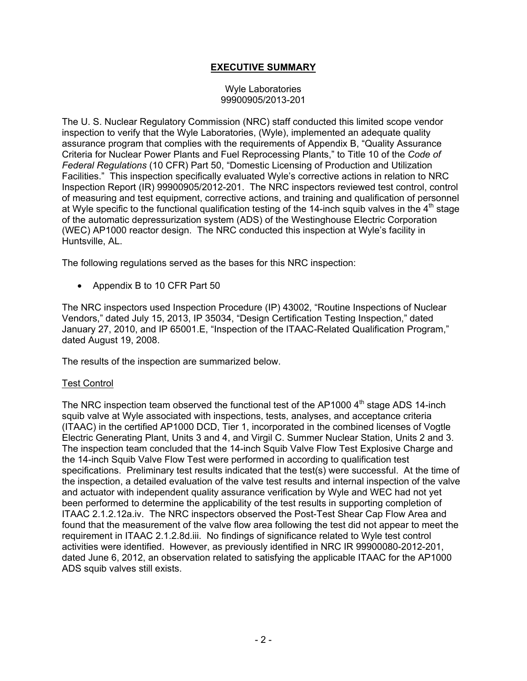## **EXECUTIVE SUMMARY**

#### Wyle Laboratories 99900905/2013-201

The U. S. Nuclear Regulatory Commission (NRC) staff conducted this limited scope vendor inspection to verify that the Wyle Laboratories, (Wyle), implemented an adequate quality assurance program that complies with the requirements of Appendix B, "Quality Assurance Criteria for Nuclear Power Plants and Fuel Reprocessing Plants," to Title 10 of the *Code of Federal Regulations* (10 CFR) Part 50, "Domestic Licensing of Production and Utilization Facilities." This inspection specifically evaluated Wyle's corrective actions in relation to NRC Inspection Report (IR) 99900905/2012-201. The NRC inspectors reviewed test control, control of measuring and test equipment, corrective actions, and training and qualification of personnel at Wyle specific to the functional qualification testing of the 14-inch squib valves in the 4<sup>th</sup> stage of the automatic depressurization system (ADS) of the Westinghouse Electric Corporation (WEC) AP1000 reactor design. The NRC conducted this inspection at Wyle's facility in Huntsville, AL.

The following regulations served as the bases for this NRC inspection:

• Appendix B to 10 CFR Part 50

The NRC inspectors used Inspection Procedure (IP) 43002, "Routine Inspections of Nuclear Vendors," dated July 15, 2013, IP 35034, "Design Certification Testing Inspection," dated January 27, 2010, and IP 65001.E, "Inspection of the ITAAC-Related Qualification Program," dated August 19, 2008.

The results of the inspection are summarized below.

## Test Control

The NRC inspection team observed the functional test of the AP1000  $4<sup>th</sup>$  stage ADS 14-inch squib valve at Wyle associated with inspections, tests, analyses, and acceptance criteria (ITAAC) in the certified AP1000 DCD, Tier 1, incorporated in the combined licenses of Vogtle Electric Generating Plant, Units 3 and 4, and Virgil C. Summer Nuclear Station, Units 2 and 3. The inspection team concluded that the 14-inch Squib Valve Flow Test Explosive Charge and the 14-inch Squib Valve Flow Test were performed in according to qualification test specifications. Preliminary test results indicated that the test(s) were successful. At the time of the inspection, a detailed evaluation of the valve test results and internal inspection of the valve and actuator with independent quality assurance verification by Wyle and WEC had not yet been performed to determine the applicability of the test results in supporting completion of ITAAC 2.1.2.12a.iv. The NRC inspectors observed the Post-Test Shear Cap Flow Area and found that the measurement of the valve flow area following the test did not appear to meet the requirement in ITAAC 2.1.2.8d.iii. No findings of significance related to Wyle test control activities were identified. However, as previously identified in NRC IR 99900080-2012-201, dated June 6, 2012, an observation related to satisfying the applicable ITAAC for the AP1000 ADS squib valves still exists.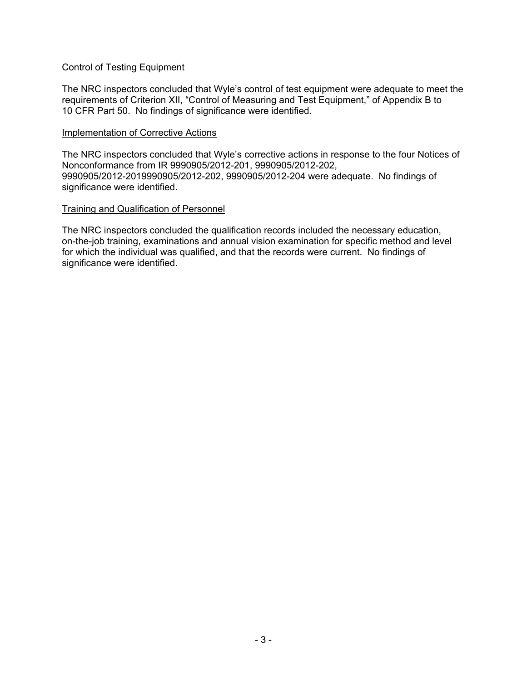### Control of Testing Equipment

The NRC inspectors concluded that Wyle's control of test equipment were adequate to meet the requirements of Criterion XII, "Control of Measuring and Test Equipment," of Appendix B to 10 CFR Part 50. No findings of significance were identified.

#### Implementation of Corrective Actions

The NRC inspectors concluded that Wyle's corrective actions in response to the four Notices of Nonconformance from IR 9990905/2012-201, 9990905/2012-202, 9990905/2012-2019990905/2012-202, 9990905/2012-204 were adequate. No findings of significance were identified.

### Training and Qualification of Personnel

The NRC inspectors concluded the qualification records included the necessary education, on-the-job training, examinations and annual vision examination for specific method and level for which the individual was qualified, and that the records were current. No findings of significance were identified.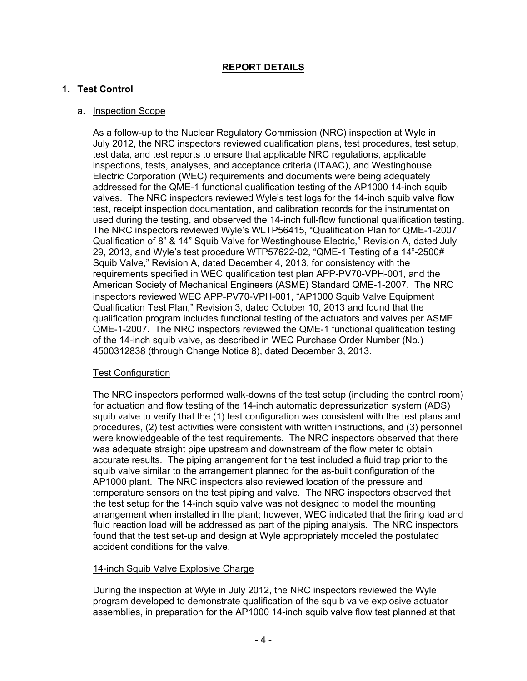# **REPORT DETAILS**

## **1. Test Control**

## a. Inspection Scope

As a follow-up to the Nuclear Regulatory Commission (NRC) inspection at Wyle in July 2012, the NRC inspectors reviewed qualification plans, test procedures, test setup, test data, and test reports to ensure that applicable NRC regulations, applicable inspections, tests, analyses, and acceptance criteria (ITAAC), and Westinghouse Electric Corporation (WEC) requirements and documents were being adequately addressed for the QME-1 functional qualification testing of the AP1000 14-inch squib valves. The NRC inspectors reviewed Wyle's test logs for the 14-inch squib valve flow test, receipt inspection documentation, and calibration records for the instrumentation used during the testing, and observed the 14-inch full-flow functional qualification testing. The NRC inspectors reviewed Wyle's WLTP56415, "Qualification Plan for QME-1-2007 Qualification of 8" & 14" Squib Valve for Westinghouse Electric," Revision A, dated July 29, 2013, and Wyle's test procedure WTP57622-02, "QME-1 Testing of a 14"-2500# Squib Valve," Revision A, dated December 4, 2013, for consistency with the requirements specified in WEC qualification test plan APP-PV70-VPH-001, and the American Society of Mechanical Engineers (ASME) Standard QME-1-2007. The NRC inspectors reviewed WEC APP-PV70-VPH-001, "AP1000 Squib Valve Equipment Qualification Test Plan," Revision 3, dated October 10, 2013 and found that the qualification program includes functional testing of the actuators and valves per ASME QME-1-2007. The NRC inspectors reviewed the QME-1 functional qualification testing of the 14-inch squib valve, as described in WEC Purchase Order Number (No.) 4500312838 (through Change Notice 8), dated December 3, 2013.

## Test Configuration

The NRC inspectors performed walk-downs of the test setup (including the control room) for actuation and flow testing of the 14-inch automatic depressurization system (ADS) squib valve to verify that the (1) test configuration was consistent with the test plans and procedures, (2) test activities were consistent with written instructions, and (3) personnel were knowledgeable of the test requirements. The NRC inspectors observed that there was adequate straight pipe upstream and downstream of the flow meter to obtain accurate results. The piping arrangement for the test included a fluid trap prior to the squib valve similar to the arrangement planned for the as-built configuration of the AP1000 plant. The NRC inspectors also reviewed location of the pressure and temperature sensors on the test piping and valve. The NRC inspectors observed that the test setup for the 14-inch squib valve was not designed to model the mounting arrangement when installed in the plant; however, WEC indicated that the firing load and fluid reaction load will be addressed as part of the piping analysis. The NRC inspectors found that the test set-up and design at Wyle appropriately modeled the postulated accident conditions for the valve.

## 14-inch Squib Valve Explosive Charge

During the inspection at Wyle in July 2012, the NRC inspectors reviewed the Wyle program developed to demonstrate qualification of the squib valve explosive actuator assemblies, in preparation for the AP1000 14-inch squib valve flow test planned at that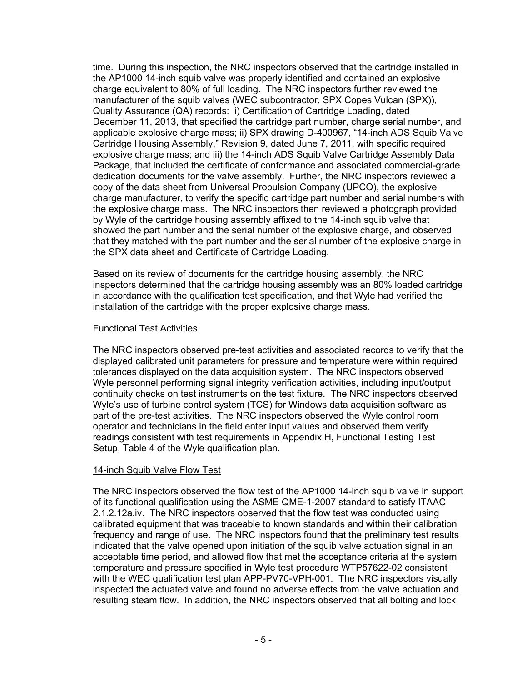time. During this inspection, the NRC inspectors observed that the cartridge installed in the AP1000 14-inch squib valve was properly identified and contained an explosive charge equivalent to 80% of full loading. The NRC inspectors further reviewed the manufacturer of the squib valves (WEC subcontractor, SPX Copes Vulcan (SPX)), Quality Assurance (QA) records: i) Certification of Cartridge Loading, dated December 11, 2013, that specified the cartridge part number, charge serial number, and applicable explosive charge mass; ii) SPX drawing D-400967, "14-inch ADS Squib Valve Cartridge Housing Assembly," Revision 9, dated June 7, 2011, with specific required explosive charge mass; and iii) the 14-inch ADS Squib Valve Cartridge Assembly Data Package, that included the certificate of conformance and associated commercial-grade dedication documents for the valve assembly. Further, the NRC inspectors reviewed a copy of the data sheet from Universal Propulsion Company (UPCO), the explosive charge manufacturer, to verify the specific cartridge part number and serial numbers with the explosive charge mass. The NRC inspectors then reviewed a photograph provided by Wyle of the cartridge housing assembly affixed to the 14-inch squib valve that showed the part number and the serial number of the explosive charge, and observed that they matched with the part number and the serial number of the explosive charge in the SPX data sheet and Certificate of Cartridge Loading.

Based on its review of documents for the cartridge housing assembly, the NRC inspectors determined that the cartridge housing assembly was an 80% loaded cartridge in accordance with the qualification test specification, and that Wyle had verified the installation of the cartridge with the proper explosive charge mass.

### Functional Test Activities

The NRC inspectors observed pre-test activities and associated records to verify that the displayed calibrated unit parameters for pressure and temperature were within required tolerances displayed on the data acquisition system. The NRC inspectors observed Wyle personnel performing signal integrity verification activities, including input/output continuity checks on test instruments on the test fixture. The NRC inspectors observed Wyle's use of turbine control system (TCS) for Windows data acquisition software as part of the pre-test activities. The NRC inspectors observed the Wyle control room operator and technicians in the field enter input values and observed them verify readings consistent with test requirements in Appendix H, Functional Testing Test Setup, Table 4 of the Wyle qualification plan.

## 14-inch Squib Valve Flow Test

The NRC inspectors observed the flow test of the AP1000 14-inch squib valve in support of its functional qualification using the ASME QME-1-2007 standard to satisfy ITAAC 2.1.2.12a.iv. The NRC inspectors observed that the flow test was conducted using calibrated equipment that was traceable to known standards and within their calibration frequency and range of use. The NRC inspectors found that the preliminary test results indicated that the valve opened upon initiation of the squib valve actuation signal in an acceptable time period, and allowed flow that met the acceptance criteria at the system temperature and pressure specified in Wyle test procedure WTP57622-02 consistent with the WEC qualification test plan APP-PV70-VPH-001. The NRC inspectors visually inspected the actuated valve and found no adverse effects from the valve actuation and resulting steam flow. In addition, the NRC inspectors observed that all bolting and lock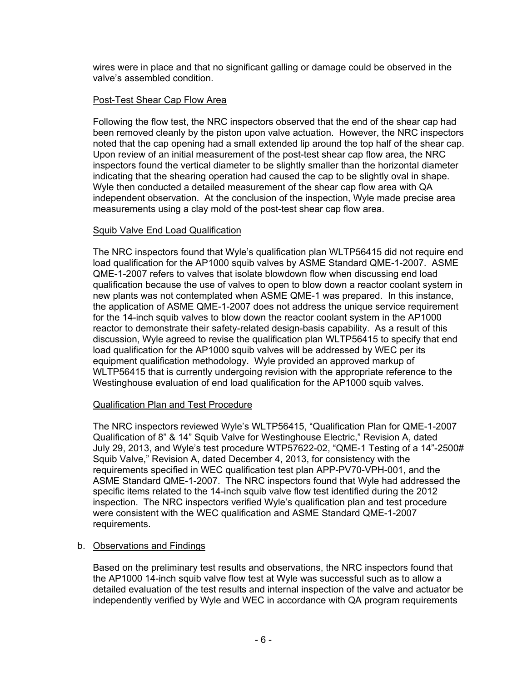wires were in place and that no significant galling or damage could be observed in the valve's assembled condition.

## Post-Test Shear Cap Flow Area

Following the flow test, the NRC inspectors observed that the end of the shear cap had been removed cleanly by the piston upon valve actuation. However, the NRC inspectors noted that the cap opening had a small extended lip around the top half of the shear cap. Upon review of an initial measurement of the post-test shear cap flow area, the NRC inspectors found the vertical diameter to be slightly smaller than the horizontal diameter indicating that the shearing operation had caused the cap to be slightly oval in shape. Wyle then conducted a detailed measurement of the shear cap flow area with QA independent observation. At the conclusion of the inspection, Wyle made precise area measurements using a clay mold of the post-test shear cap flow area.

# Squib Valve End Load Qualification

The NRC inspectors found that Wyle's qualification plan WLTP56415 did not require end load qualification for the AP1000 squib valves by ASME Standard QME-1-2007. ASME QME-1-2007 refers to valves that isolate blowdown flow when discussing end load qualification because the use of valves to open to blow down a reactor coolant system in new plants was not contemplated when ASME QME-1 was prepared. In this instance, the application of ASME QME-1-2007 does not address the unique service requirement for the 14-inch squib valves to blow down the reactor coolant system in the AP1000 reactor to demonstrate their safety-related design-basis capability. As a result of this discussion, Wyle agreed to revise the qualification plan WLTP56415 to specify that end load qualification for the AP1000 squib valves will be addressed by WEC per its equipment qualification methodology. Wyle provided an approved markup of WLTP56415 that is currently undergoing revision with the appropriate reference to the Westinghouse evaluation of end load qualification for the AP1000 squib valves.

## Qualification Plan and Test Procedure

The NRC inspectors reviewed Wyle's WLTP56415, "Qualification Plan for QME-1-2007 Qualification of 8" & 14" Squib Valve for Westinghouse Electric," Revision A, dated July 29, 2013, and Wyle's test procedure WTP57622-02, "QME-1 Testing of a 14"-2500# Squib Valve," Revision A, dated December 4, 2013, for consistency with the requirements specified in WEC qualification test plan APP-PV70-VPH-001, and the ASME Standard QME-1-2007. The NRC inspectors found that Wyle had addressed the specific items related to the 14-inch squib valve flow test identified during the 2012 inspection. The NRC inspectors verified Wyle's qualification plan and test procedure were consistent with the WEC qualification and ASME Standard QME-1-2007 requirements.

# b. Observations and Findings

Based on the preliminary test results and observations, the NRC inspectors found that the AP1000 14-inch squib valve flow test at Wyle was successful such as to allow a detailed evaluation of the test results and internal inspection of the valve and actuator be independently verified by Wyle and WEC in accordance with QA program requirements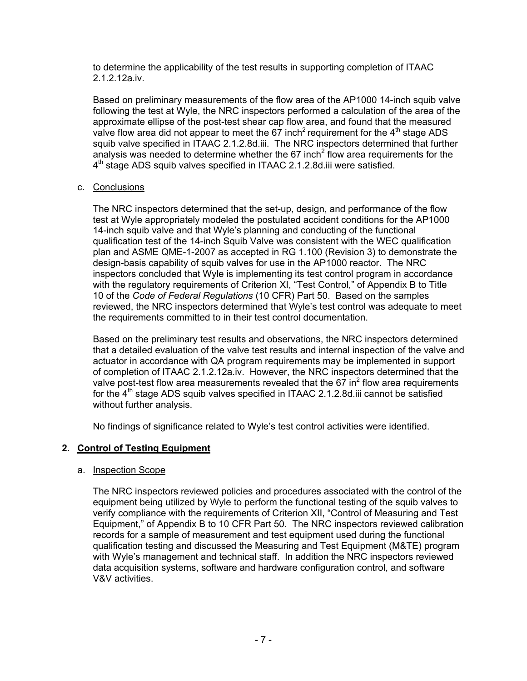to determine the applicability of the test results in supporting completion of ITAAC 2.1.2.12a.iv.

Based on preliminary measurements of the flow area of the AP1000 14-inch squib valve following the test at Wyle, the NRC inspectors performed a calculation of the area of the approximate ellipse of the post-test shear cap flow area, and found that the measured valve flow area did not appear to meet the 67 inch<sup>2</sup> requirement for the  $4<sup>th</sup>$  stage ADS squib valve specified in ITAAC 2.1.2.8d.iii. The NRC inspectors determined that further analysis was needed to determine whether the 67 inch<sup>2</sup> flow area requirements for the  $4<sup>th</sup>$  stage ADS squib valves specified in ITAAC 2.1.2.8d.iii were satisfied.

### c. Conclusions

The NRC inspectors determined that the set-up, design, and performance of the flow test at Wyle appropriately modeled the postulated accident conditions for the AP1000 14-inch squib valve and that Wyle's planning and conducting of the functional qualification test of the 14-inch Squib Valve was consistent with the WEC qualification plan and ASME QME-1-2007 as accepted in RG 1.100 (Revision 3) to demonstrate the design-basis capability of squib valves for use in the AP1000 reactor. The NRC inspectors concluded that Wyle is implementing its test control program in accordance with the regulatory requirements of Criterion XI, "Test Control," of Appendix B to Title 10 of the *Code of Federal Regulations* (10 CFR) Part 50. Based on the samples reviewed, the NRC inspectors determined that Wyle's test control was adequate to meet the requirements committed to in their test control documentation.

Based on the preliminary test results and observations, the NRC inspectors determined that a detailed evaluation of the valve test results and internal inspection of the valve and actuator in accordance with QA program requirements may be implemented in support of completion of ITAAC 2.1.2.12a.iv. However, the NRC inspectors determined that the valve post-test flow area measurements revealed that the 67 in<sup>2</sup> flow area requirements for the  $4<sup>th</sup>$  stage ADS squib valves specified in ITAAC 2.1.2.8d.iii cannot be satisfied without further analysis.

No findings of significance related to Wyle's test control activities were identified.

## **2. Control of Testing Equipment**

#### a. Inspection Scope

The NRC inspectors reviewed policies and procedures associated with the control of the equipment being utilized by Wyle to perform the functional testing of the squib valves to verify compliance with the requirements of Criterion XII, "Control of Measuring and Test Equipment," of Appendix B to 10 CFR Part 50. The NRC inspectors reviewed calibration records for a sample of measurement and test equipment used during the functional qualification testing and discussed the Measuring and Test Equipment (M&TE) program with Wyle's management and technical staff. In addition the NRC inspectors reviewed data acquisition systems, software and hardware configuration control, and software V&V activities.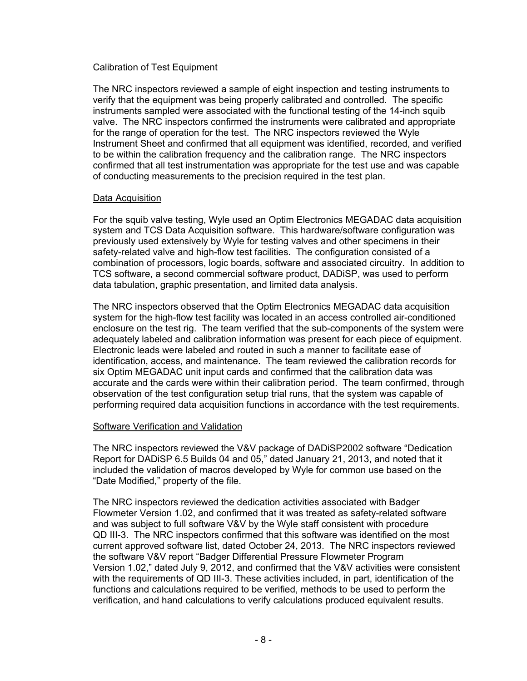## Calibration of Test Equipment

The NRC inspectors reviewed a sample of eight inspection and testing instruments to verify that the equipment was being properly calibrated and controlled. The specific instruments sampled were associated with the functional testing of the 14-inch squib valve. The NRC inspectors confirmed the instruments were calibrated and appropriate for the range of operation for the test. The NRC inspectors reviewed the Wyle Instrument Sheet and confirmed that all equipment was identified, recorded, and verified to be within the calibration frequency and the calibration range. The NRC inspectors confirmed that all test instrumentation was appropriate for the test use and was capable of conducting measurements to the precision required in the test plan.

### Data Acquisition

For the squib valve testing, Wyle used an Optim Electronics MEGADAC data acquisition system and TCS Data Acquisition software. This hardware/software configuration was previously used extensively by Wyle for testing valves and other specimens in their safety-related valve and high-flow test facilities. The configuration consisted of a combination of processors, logic boards, software and associated circuitry. In addition to TCS software, a second commercial software product, DADiSP, was used to perform data tabulation, graphic presentation, and limited data analysis.

The NRC inspectors observed that the Optim Electronics MEGADAC data acquisition system for the high-flow test facility was located in an access controlled air-conditioned enclosure on the test rig. The team verified that the sub-components of the system were adequately labeled and calibration information was present for each piece of equipment. Electronic leads were labeled and routed in such a manner to facilitate ease of identification, access, and maintenance. The team reviewed the calibration records for six Optim MEGADAC unit input cards and confirmed that the calibration data was accurate and the cards were within their calibration period. The team confirmed, through observation of the test configuration setup trial runs, that the system was capable of performing required data acquisition functions in accordance with the test requirements.

#### Software Verification and Validation

The NRC inspectors reviewed the V&V package of DADiSP2002 software "Dedication Report for DADiSP 6.5 Builds 04 and 05," dated January 21, 2013, and noted that it included the validation of macros developed by Wyle for common use based on the "Date Modified," property of the file.

The NRC inspectors reviewed the dedication activities associated with Badger Flowmeter Version 1.02, and confirmed that it was treated as safety-related software and was subject to full software V&V by the Wyle staff consistent with procedure QD III-3. The NRC inspectors confirmed that this software was identified on the most current approved software list, dated October 24, 2013. The NRC inspectors reviewed the software V&V report "Badger Differential Pressure Flowmeter Program Version 1.02," dated July 9, 2012, and confirmed that the V&V activities were consistent with the requirements of QD III-3. These activities included, in part, identification of the functions and calculations required to be verified, methods to be used to perform the verification, and hand calculations to verify calculations produced equivalent results.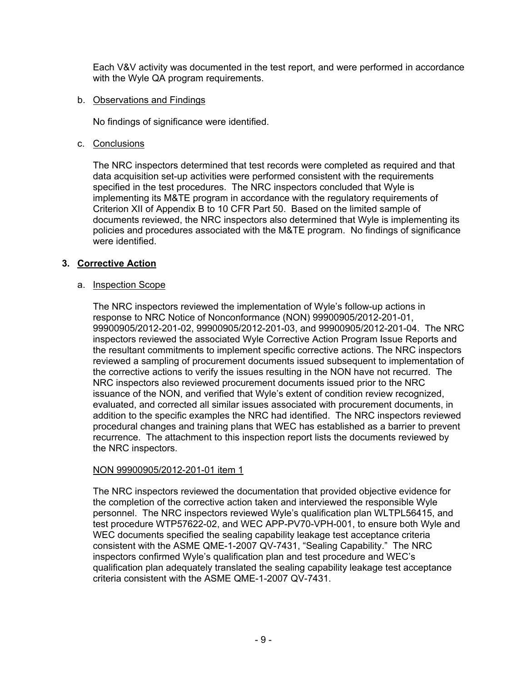Each V&V activity was documented in the test report, and were performed in accordance with the Wyle QA program requirements.

### b. Observations and Findings

No findings of significance were identified.

### c. Conclusions

The NRC inspectors determined that test records were completed as required and that data acquisition set-up activities were performed consistent with the requirements specified in the test procedures. The NRC inspectors concluded that Wyle is implementing its M&TE program in accordance with the regulatory requirements of Criterion XII of Appendix B to 10 CFR Part 50. Based on the limited sample of documents reviewed, the NRC inspectors also determined that Wyle is implementing its policies and procedures associated with the M&TE program. No findings of significance were identified.

## **3. Corrective Action**

### a. Inspection Scope

The NRC inspectors reviewed the implementation of Wyle's follow-up actions in response to NRC Notice of Nonconformance (NON) 99900905/2012-201-01, 99900905/2012-201-02, 99900905/2012-201-03, and 99900905/2012-201-04. The NRC inspectors reviewed the associated Wyle Corrective Action Program Issue Reports and the resultant commitments to implement specific corrective actions. The NRC inspectors reviewed a sampling of procurement documents issued subsequent to implementation of the corrective actions to verify the issues resulting in the NON have not recurred. The NRC inspectors also reviewed procurement documents issued prior to the NRC issuance of the NON, and verified that Wyle's extent of condition review recognized, evaluated, and corrected all similar issues associated with procurement documents, in addition to the specific examples the NRC had identified. The NRC inspectors reviewed procedural changes and training plans that WEC has established as a barrier to prevent recurrence. The attachment to this inspection report lists the documents reviewed by the NRC inspectors.

## NON 99900905/2012-201-01 item 1

The NRC inspectors reviewed the documentation that provided objective evidence for the completion of the corrective action taken and interviewed the responsible Wyle personnel. The NRC inspectors reviewed Wyle's qualification plan WLTPL56415, and test procedure WTP57622-02, and WEC APP-PV70-VPH-001, to ensure both Wyle and WEC documents specified the sealing capability leakage test acceptance criteria consistent with the ASME QME-1-2007 QV-7431, "Sealing Capability." The NRC inspectors confirmed Wyle's qualification plan and test procedure and WEC's qualification plan adequately translated the sealing capability leakage test acceptance criteria consistent with the ASME QME-1-2007 QV-7431.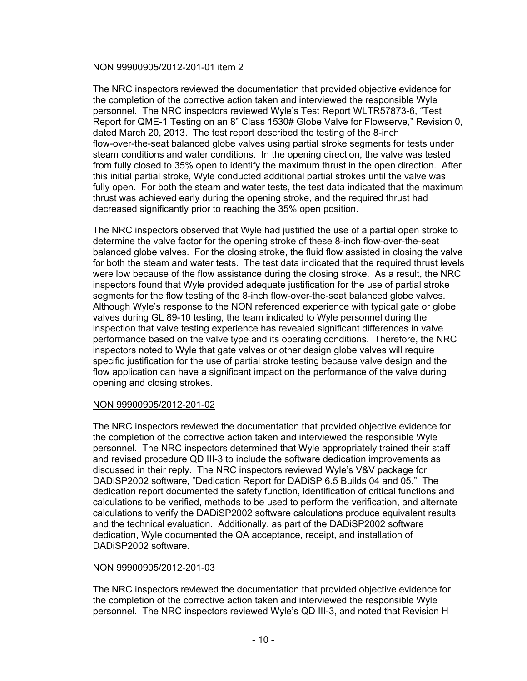## NON 99900905/2012-201-01 item 2

The NRC inspectors reviewed the documentation that provided objective evidence for the completion of the corrective action taken and interviewed the responsible Wyle personnel. The NRC inspectors reviewed Wyle's Test Report WLTR57873-6, "Test Report for QME-1 Testing on an 8" Class 1530# Globe Valve for Flowserve," Revision 0, dated March 20, 2013. The test report described the testing of the 8-inch flow-over-the-seat balanced globe valves using partial stroke segments for tests under steam conditions and water conditions. In the opening direction, the valve was tested from fully closed to 35% open to identify the maximum thrust in the open direction. After this initial partial stroke, Wyle conducted additional partial strokes until the valve was fully open. For both the steam and water tests, the test data indicated that the maximum thrust was achieved early during the opening stroke, and the required thrust had decreased significantly prior to reaching the 35% open position.

The NRC inspectors observed that Wyle had justified the use of a partial open stroke to determine the valve factor for the opening stroke of these 8-inch flow-over-the-seat balanced globe valves. For the closing stroke, the fluid flow assisted in closing the valve for both the steam and water tests. The test data indicated that the required thrust levels were low because of the flow assistance during the closing stroke. As a result, the NRC inspectors found that Wyle provided adequate justification for the use of partial stroke segments for the flow testing of the 8-inch flow-over-the-seat balanced globe valves. Although Wyle's response to the NON referenced experience with typical gate or globe valves during GL 89-10 testing, the team indicated to Wyle personnel during the inspection that valve testing experience has revealed significant differences in valve performance based on the valve type and its operating conditions. Therefore, the NRC inspectors noted to Wyle that gate valves or other design globe valves will require specific justification for the use of partial stroke testing because valve design and the flow application can have a significant impact on the performance of the valve during opening and closing strokes.

## NON 99900905/2012-201-02

The NRC inspectors reviewed the documentation that provided objective evidence for the completion of the corrective action taken and interviewed the responsible Wyle personnel. The NRC inspectors determined that Wyle appropriately trained their staff and revised procedure QD III-3 to include the software dedication improvements as discussed in their reply. The NRC inspectors reviewed Wyle's V&V package for DADiSP2002 software, "Dedication Report for DADiSP 6.5 Builds 04 and 05." The dedication report documented the safety function, identification of critical functions and calculations to be verified, methods to be used to perform the verification, and alternate calculations to verify the DADiSP2002 software calculations produce equivalent results and the technical evaluation. Additionally, as part of the DADiSP2002 software dedication, Wyle documented the QA acceptance, receipt, and installation of DADiSP2002 software.

## NON 99900905/2012-201-03

The NRC inspectors reviewed the documentation that provided objective evidence for the completion of the corrective action taken and interviewed the responsible Wyle personnel. The NRC inspectors reviewed Wyle's QD III-3, and noted that Revision H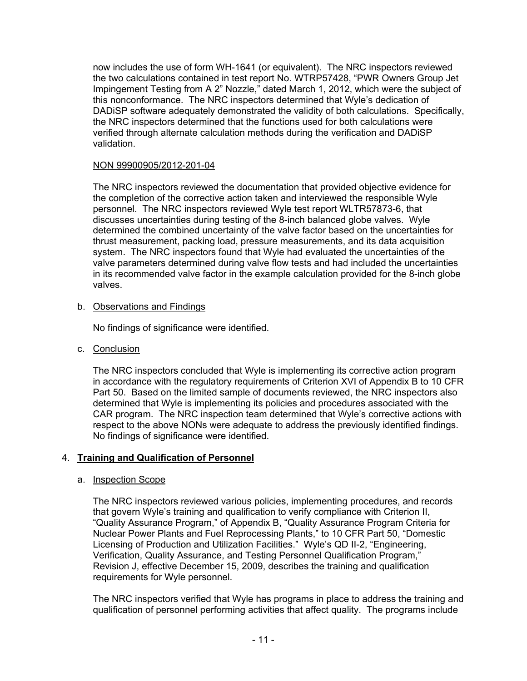now includes the use of form WH-1641 (or equivalent). The NRC inspectors reviewed the two calculations contained in test report No. WTRP57428, "PWR Owners Group Jet Impingement Testing from A 2" Nozzle," dated March 1, 2012, which were the subject of this nonconformance. The NRC inspectors determined that Wyle's dedication of DADiSP software adequately demonstrated the validity of both calculations. Specifically, the NRC inspectors determined that the functions used for both calculations were verified through alternate calculation methods during the verification and DADiSP validation.

## NON 99900905/2012-201-04

The NRC inspectors reviewed the documentation that provided objective evidence for the completion of the corrective action taken and interviewed the responsible Wyle personnel. The NRC inspectors reviewed Wyle test report WLTR57873-6, that discusses uncertainties during testing of the 8-inch balanced globe valves. Wyle determined the combined uncertainty of the valve factor based on the uncertainties for thrust measurement, packing load, pressure measurements, and its data acquisition system. The NRC inspectors found that Wyle had evaluated the uncertainties of the valve parameters determined during valve flow tests and had included the uncertainties in its recommended valve factor in the example calculation provided for the 8-inch globe valves.

## b. Observations and Findings

No findings of significance were identified.

c. Conclusion

The NRC inspectors concluded that Wyle is implementing its corrective action program in accordance with the regulatory requirements of Criterion XVI of Appendix B to 10 CFR Part 50. Based on the limited sample of documents reviewed, the NRC inspectors also determined that Wyle is implementing its policies and procedures associated with the CAR program. The NRC inspection team determined that Wyle's corrective actions with respect to the above NONs were adequate to address the previously identified findings. No findings of significance were identified.

# 4. **Training and Qualification of Personnel**

## a. Inspection Scope

The NRC inspectors reviewed various policies, implementing procedures, and records that govern Wyle's training and qualification to verify compliance with Criterion II, "Quality Assurance Program," of Appendix B, "Quality Assurance Program Criteria for Nuclear Power Plants and Fuel Reprocessing Plants," to 10 CFR Part 50, "Domestic Licensing of Production and Utilization Facilities." Wyle's QD II-2, "Engineering, Verification, Quality Assurance, and Testing Personnel Qualification Program," Revision J, effective December 15, 2009, describes the training and qualification requirements for Wyle personnel.

The NRC inspectors verified that Wyle has programs in place to address the training and qualification of personnel performing activities that affect quality. The programs include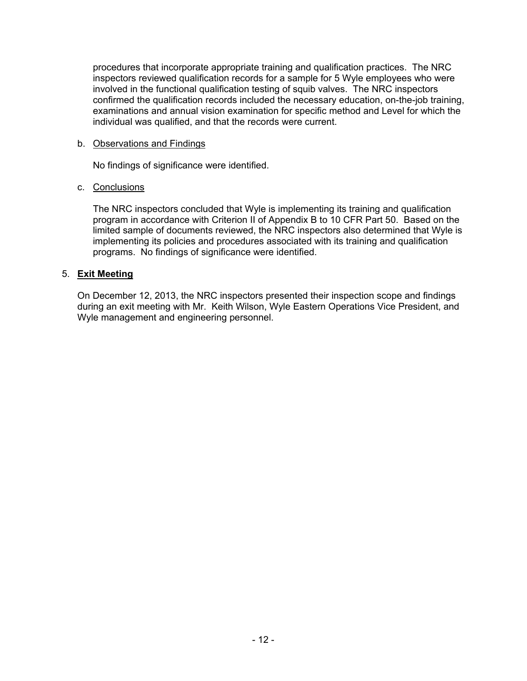procedures that incorporate appropriate training and qualification practices. The NRC inspectors reviewed qualification records for a sample for 5 Wyle employees who were involved in the functional qualification testing of squib valves. The NRC inspectors confirmed the qualification records included the necessary education, on-the-job training, examinations and annual vision examination for specific method and Level for which the individual was qualified, and that the records were current.

### b. Observations and Findings

No findings of significance were identified.

### c. Conclusions

The NRC inspectors concluded that Wyle is implementing its training and qualification program in accordance with Criterion II of Appendix B to 10 CFR Part 50. Based on the limited sample of documents reviewed, the NRC inspectors also determined that Wyle is implementing its policies and procedures associated with its training and qualification programs. No findings of significance were identified.

## 5. **Exit Meeting**

On December 12, 2013, the NRC inspectors presented their inspection scope and findings during an exit meeting with Mr. Keith Wilson, Wyle Eastern Operations Vice President, and Wyle management and engineering personnel.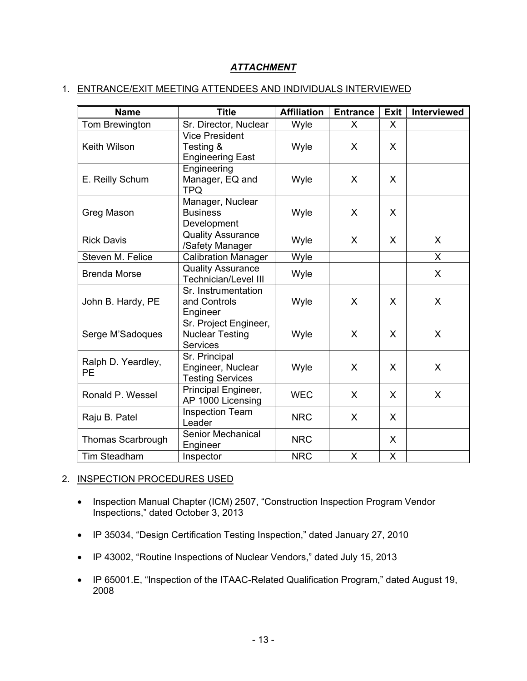# *ATTACHMENT*

## 1. ENTRANCE/EXIT MEETING ATTENDEES AND INDIVIDUALS INTERVIEWED

| <b>Name</b>                     | <b>Title</b>                                                       | <b>Affiliation</b> | <b>Entrance</b> | <b>Exit</b>  | <b>Interviewed</b> |
|---------------------------------|--------------------------------------------------------------------|--------------------|-----------------|--------------|--------------------|
| Tom Brewington                  | Sr. Director, Nuclear                                              | Wyle               | X               | X            |                    |
| <b>Keith Wilson</b>             | <b>Vice President</b><br>Testing &<br><b>Engineering East</b>      | Wyle               | X               | X            |                    |
| E. Reilly Schum                 | Engineering<br>Manager, EQ and<br><b>TPQ</b>                       | Wyle               | $\mathsf{X}$    | X            |                    |
| Greg Mason                      | Manager, Nuclear<br><b>Business</b><br>Development                 | Wyle               | X               | $\mathsf{X}$ |                    |
| <b>Rick Davis</b>               | <b>Quality Assurance</b><br>/Safety Manager                        | Wyle               | X               | X            | X                  |
| Steven M. Felice                | <b>Calibration Manager</b>                                         | Wyle               |                 |              | X.                 |
| <b>Brenda Morse</b>             | <b>Quality Assurance</b><br><b>Technician/Level III</b>            | Wyle               |                 |              | $\mathsf{X}$       |
| John B. Hardy, PE               | Sr. Instrumentation<br>and Controls<br>Engineer                    | Wyle               | $\mathsf{X}$    | X            | X                  |
| Serge M'Sadoques                | Sr. Project Engineer,<br><b>Nuclear Testing</b><br><b>Services</b> | Wyle               | X               | X            | X                  |
| Ralph D. Yeardley,<br><b>PE</b> | Sr. Principal<br>Engineer, Nuclear<br><b>Testing Services</b>      | Wyle               | X               | X            | X                  |
| Ronald P. Wessel                | Principal Engineer,<br>AP 1000 Licensing                           | <b>WEC</b>         | $\mathsf{X}$    | $\mathsf{X}$ | X                  |
| Raju B. Patel                   | <b>Inspection Team</b><br>Leader                                   | <b>NRC</b>         | X               | $\mathsf{X}$ |                    |
| <b>Thomas Scarbrough</b>        | Senior Mechanical<br>Engineer                                      | <b>NRC</b>         |                 | $\mathsf{X}$ |                    |
| Tim Steadham                    | Inspector                                                          | <b>NRC</b>         | X               | X            |                    |

# 2. INSPECTION PROCEDURES USED

- Inspection Manual Chapter (ICM) 2507, "Construction Inspection Program Vendor Inspections," dated October 3, 2013
- IP 35034, "Design Certification Testing Inspection," dated January 27, 2010
- IP 43002, "Routine Inspections of Nuclear Vendors," dated July 15, 2013
- IP 65001.E, "Inspection of the ITAAC-Related Qualification Program," dated August 19, 2008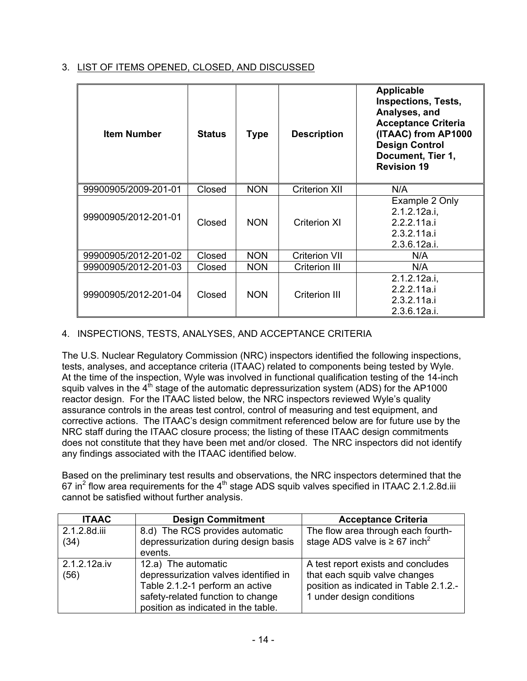# 3. LIST OF ITEMS OPENED, CLOSED, AND DISCUSSED

| <b>Item Number</b>   | <b>Status</b> | <b>Type</b> | <b>Description</b>   | <b>Applicable</b><br><b>Inspections, Tests,</b><br>Analyses, and<br><b>Acceptance Criteria</b><br>(ITAAC) from AP1000<br><b>Design Control</b><br>Document, Tier 1,<br><b>Revision 19</b> |
|----------------------|---------------|-------------|----------------------|-------------------------------------------------------------------------------------------------------------------------------------------------------------------------------------------|
| 99900905/2009-201-01 | Closed        | <b>NON</b>  | <b>Criterion XII</b> | N/A                                                                                                                                                                                       |
| 99900905/2012-201-01 | Closed        | <b>NON</b>  | <b>Criterion XI</b>  | Example 2 Only<br>2.1.2.12a.i,<br>2.2.2.11a.i<br>2.3.2.11a.i<br>2.3.6.12a.i.                                                                                                              |
| 99900905/2012-201-02 | Closed        | <b>NON</b>  | <b>Criterion VII</b> | N/A                                                                                                                                                                                       |
| 99900905/2012-201-03 | Closed        | <b>NON</b>  | <b>Criterion III</b> | N/A                                                                                                                                                                                       |
| 99900905/2012-201-04 | Closed        | <b>NON</b>  | Criterion III        | 2.1.2.12a.i.<br>2.2.2.11a.i<br>2.3.2.11a.i<br>2.3.6.12a.i.                                                                                                                                |

# 4. INSPECTIONS, TESTS, ANALYSES, AND ACCEPTANCE CRITERIA

The U.S. Nuclear Regulatory Commission (NRC) inspectors identified the following inspections, tests, analyses, and acceptance criteria (ITAAC) related to components being tested by Wyle. At the time of the inspection, Wyle was involved in functional qualification testing of the 14-inch squib valves in the  $4<sup>th</sup>$  stage of the automatic depressurization system (ADS) for the AP1000 reactor design. For the ITAAC listed below, the NRC inspectors reviewed Wyle's quality assurance controls in the areas test control, control of measuring and test equipment, and corrective actions. The ITAAC's design commitment referenced below are for future use by the NRC staff during the ITAAC closure process; the listing of these ITAAC design commitments does not constitute that they have been met and/or closed. The NRC inspectors did not identify any findings associated with the ITAAC identified below.

Based on the preliminary test results and observations, the NRC inspectors determined that the 67 in<sup>2</sup> flow area requirements for the 4<sup>th</sup> stage ADS squib valves specified in ITAAC 2.1.2.8d.iii cannot be satisfied without further analysis.

| <b>ITAAC</b>         | <b>Design Commitment</b>                                                                                                                                                    | <b>Acceptance Criteria</b>                                                                                                                 |
|----------------------|-----------------------------------------------------------------------------------------------------------------------------------------------------------------------------|--------------------------------------------------------------------------------------------------------------------------------------------|
| 2.1.2.8d.iii         | 8.d) The RCS provides automatic                                                                                                                                             | The flow area through each fourth-                                                                                                         |
| (34)                 | depressurization during design basis<br>events.                                                                                                                             | stage ADS valve is $\geq 67$ inch <sup>2</sup>                                                                                             |
| 2.1.2.12a.iv<br>(56) | 12.a) The automatic<br>depressurization valves identified in<br>Table 2.1.2-1 perform an active<br>safety-related function to change<br>position as indicated in the table. | A test report exists and concludes<br>that each squib valve changes<br>position as indicated in Table 2.1.2.-<br>1 under design conditions |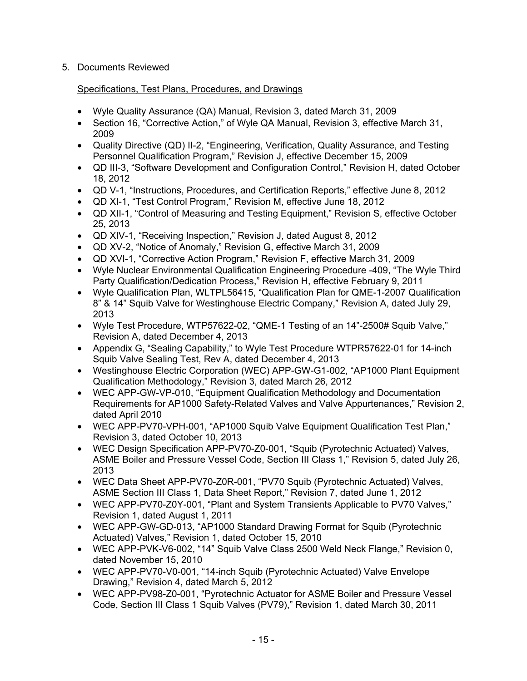# 5. Documents Reviewed

## Specifications, Test Plans, Procedures, and Drawings

- Wyle Quality Assurance (QA) Manual, Revision 3, dated March 31, 2009
- Section 16, "Corrective Action," of Wyle QA Manual, Revision 3, effective March 31, 2009
- Quality Directive (QD) II-2, "Engineering, Verification, Quality Assurance, and Testing Personnel Qualification Program," Revision J, effective December 15, 2009
- QD III-3, "Software Development and Configuration Control," Revision H, dated October 18, 2012
- QD V-1, "Instructions, Procedures, and Certification Reports," effective June 8, 2012
- QD XI-1, "Test Control Program," Revision M, effective June 18, 2012
- QD XII-1, "Control of Measuring and Testing Equipment," Revision S, effective October 25, 2013
- QD XIV-1, "Receiving Inspection," Revision J, dated August 8, 2012
- QD XV-2, "Notice of Anomaly," Revision G, effective March 31, 2009
- QD XVI-1, "Corrective Action Program," Revision F, effective March 31, 2009
- Wyle Nuclear Environmental Qualification Engineering Procedure -409, "The Wyle Third Party Qualification/Dedication Process," Revision H, effective February 9, 2011
- Wyle Qualification Plan, WLTPL56415, "Qualification Plan for QME-1-2007 Qualification 8" & 14" Squib Valve for Westinghouse Electric Company," Revision A, dated July 29, 2013
- Wyle Test Procedure, WTP57622-02, "QME-1 Testing of an 14"-2500# Squib Valve," Revision A, dated December 4, 2013
- Appendix G, "Sealing Capability," to Wyle Test Procedure WTPR57622-01 for 14-inch Squib Valve Sealing Test, Rev A, dated December 4, 2013
- Westinghouse Electric Corporation (WEC) APP-GW-G1-002, "AP1000 Plant Equipment Qualification Methodology," Revision 3, dated March 26, 2012
- WEC APP-GW-VP-010, "Equipment Qualification Methodology and Documentation Requirements for AP1000 Safety-Related Valves and Valve Appurtenances," Revision 2, dated April 2010
- WEC APP-PV70-VPH-001, "AP1000 Squib Valve Equipment Qualification Test Plan," Revision 3, dated October 10, 2013
- WEC Design Specification APP-PV70-Z0-001, "Squib (Pyrotechnic Actuated) Valves, ASME Boiler and Pressure Vessel Code, Section III Class 1," Revision 5, dated July 26, 2013
- WEC Data Sheet APP-PV70-Z0R-001, "PV70 Squib (Pyrotechnic Actuated) Valves, ASME Section III Class 1, Data Sheet Report," Revision 7, dated June 1, 2012
- WEC APP-PV70-Z0Y-001, "Plant and System Transients Applicable to PV70 Valves," Revision 1, dated August 1, 2011
- WEC APP-GW-GD-013, "AP1000 Standard Drawing Format for Squib (Pyrotechnic Actuated) Valves," Revision 1, dated October 15, 2010
- WEC APP-PVK-V6-002, "14" Squib Valve Class 2500 Weld Neck Flange," Revision 0, dated November 15, 2010
- WEC APP-PV70-V0-001, "14-inch Squib (Pyrotechnic Actuated) Valve Envelope Drawing," Revision 4, dated March 5, 2012
- WEC APP-PV98-Z0-001, "Pyrotechnic Actuator for ASME Boiler and Pressure Vessel Code, Section III Class 1 Squib Valves (PV79)," Revision 1, dated March 30, 2011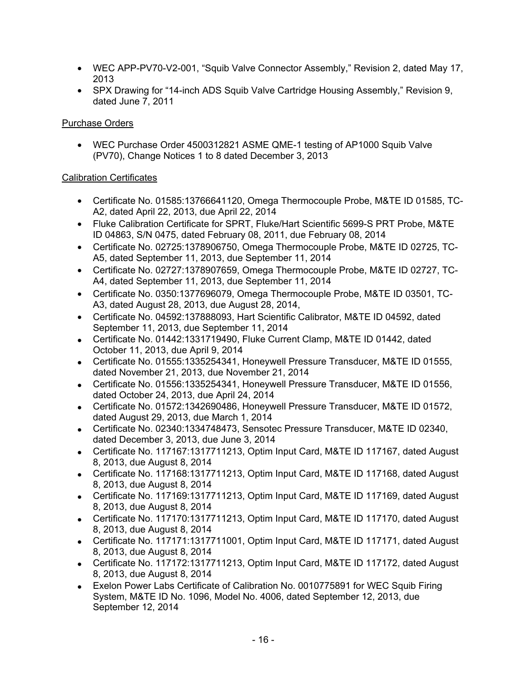- WEC APP-PV70-V2-001, "Squib Valve Connector Assembly," Revision 2, dated May 17, 2013
- SPX Drawing for "14-inch ADS Squib Valve Cartridge Housing Assembly," Revision 9, dated June 7, 2011

# Purchase Orders

• WEC Purchase Order 4500312821 ASME QME-1 testing of AP1000 Squib Valve (PV70), Change Notices 1 to 8 dated December 3, 2013

## Calibration Certificates

- Certificate No. 01585:13766641120, Omega Thermocouple Probe, M&TE ID 01585, TC-A2, dated April 22, 2013, due April 22, 2014
- Fluke Calibration Certificate for SPRT, Fluke/Hart Scientific 5699-S PRT Probe, M&TE ID 04863, S/N 0475, dated February 08, 2011, due February 08, 2014
- Certificate No. 02725:1378906750, Omega Thermocouple Probe, M&TE ID 02725, TC-A5, dated September 11, 2013, due September 11, 2014
- Certificate No. 02727:1378907659, Omega Thermocouple Probe, M&TE ID 02727, TC-A4, dated September 11, 2013, due September 11, 2014
- Certificate No. 0350:1377696079, Omega Thermocouple Probe, M&TE ID 03501, TC-A3, dated August 28, 2013, due August 28, 2014,
- Certificate No. 04592:137888093, Hart Scientific Calibrator, M&TE ID 04592, dated September 11, 2013, due September 11, 2014
- Certificate No. 01442:1331719490, Fluke Current Clamp, M&TE ID 01442, dated October 11, 2013, due April 9, 2014
- Certificate No. 01555:1335254341, Honeywell Pressure Transducer, M&TE ID 01555, dated November 21, 2013, due November 21, 2014
- Certificate No. 01556:1335254341, Honeywell Pressure Transducer, M&TE ID 01556, dated October 24, 2013, due April 24, 2014
- Certificate No. 01572:1342690486, Honeywell Pressure Transducer, M&TE ID 01572, dated August 29, 2013, due March 1, 2014
- Certificate No. 02340:1334748473, Sensotec Pressure Transducer, M&TE ID 02340, dated December 3, 2013, due June 3, 2014
- Certificate No. 117167:1317711213, Optim Input Card, M&TE ID 117167, dated August 8, 2013, due August 8, 2014
- Certificate No. 117168:1317711213, Optim Input Card, M&TE ID 117168, dated August 8, 2013, due August 8, 2014
- Certificate No. 117169:1317711213, Optim Input Card, M&TE ID 117169, dated August 8, 2013, due August 8, 2014
- Certificate No. 117170:1317711213, Optim Input Card, M&TE ID 117170, dated August 8, 2013, due August 8, 2014
- Certificate No. 117171:1317711001, Optim Input Card, M&TE ID 117171, dated August 8, 2013, due August 8, 2014
- Certificate No. 117172:1317711213, Optim Input Card, M&TE ID 117172, dated August 8, 2013, due August 8, 2014
- Exelon Power Labs Certificate of Calibration No. 0010775891 for WEC Squib Firing System, M&TE ID No. 1096, Model No. 4006, dated September 12, 2013, due September 12, 2014